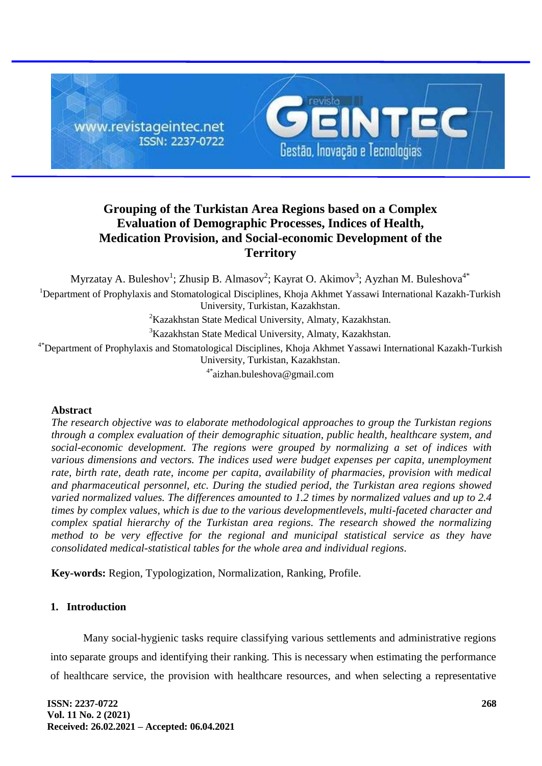

# **Grouping of the Turkistan Area Regions based on a Complex Evaluation of Demographic Processes, Indices of Health, Medication Provision, and Social-economic Development of the Territory**

Myrzatay A. Buleshov<sup>1</sup>; Zhusip B. Almasov<sup>2</sup>; Kayrat O. Akimov<sup>3</sup>; Ayzhan M. Buleshova<sup>4\*</sup> <sup>1</sup>Department of Prophylaxis and Stomatological Disciplines, Khoja Akhmet Yassawi International Kazakh-Turkish University, Turkistan, Kazakhstan. <sup>2</sup>Kazakhstan State Medical University, Almaty, Kazakhstan.

<sup>3</sup>Kazakhstan State Medical University, Almaty, Kazakhstan.

<sup>4\*</sup>Department of Prophylaxis and Stomatological Disciplines, Khoja Akhmet Yassawi International Kazakh-Turkish University, Turkistan, Kazakhstan.

4\*aizhan.buleshova@gmail.com

### **Abstract**

*The research objective was to elaborate methodological approaches to group the Turkistan regions through a complex evaluation of their demographic situation, public health, healthcare system, and social-economic development. The regions were grouped by normalizing a set of indices with various dimensions and vectors. The indices used were budget expenses per capita, unemployment rate, birth rate, death rate, income per capita, availability of pharmacies, provision with medical and pharmaceutical personnel, etc. During the studied period, the Turkistan area regions showed varied normalized values. The differences amounted to 1.2 times by normalized values and up to 2.4 times by complex values, which is due to the various developmentlevels, multi-faceted character and complex spatial hierarchy of the Turkistan area regions. The research showed the normalizing method to be very effective for the regional and municipal statistical service as they have consolidated medical-statistical tables for the whole area and individual regions.*

**Key-words:** Region, Typologization, Normalization, Ranking, Profile.

## **1. Introduction**

Many social-hygienic tasks require classifying various settlements and administrative regions into separate groups and identifying their ranking. This is necessary when estimating the performance of healthcare service, the provision with healthcare resources, and when selecting a representative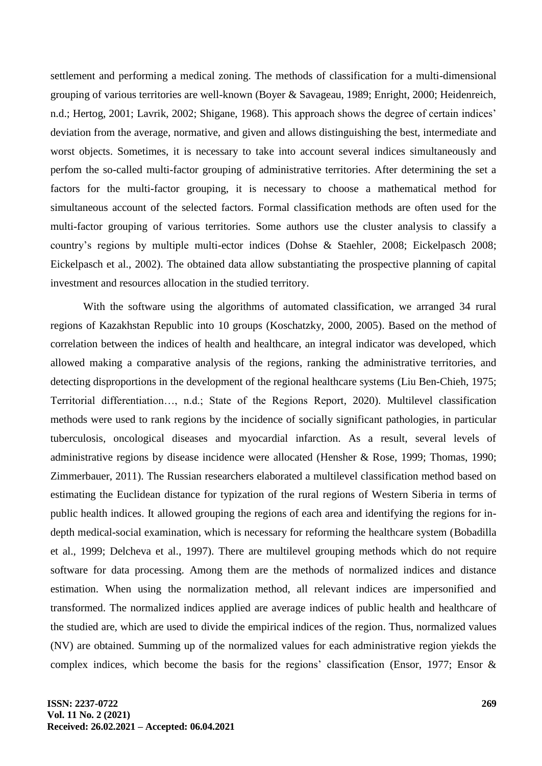settlement and performing a medical zoning. The methods of classification for a multi-dimensional grouping of various territories are well-known (Boyer & Savageau, 1989; Enright, 2000; Heidenreich, n.d.; Hertog, 2001; Lavrik, 2002; Shigane, 1968). This approach shows the degree of certain indices' deviation from the average, normative, and given and allows distinguishing the best, intermediate and worst objects. Sometimes, it is necessary to take into account several indices simultaneously and perfom the so-called multi-factor grouping of administrative territories. After determining the set a factors for the multi-factor grouping, it is necessary to choose a mathematical method for simultaneous account of the selected factors. Formal classification methods are often used for the multi-factor grouping of various territories. Some authors use the cluster analysis to classify a country's regions by multiple multi-ector indices (Dohse & Staehler, 2008; Eickelpasch 2008; Eickelpasch et al., 2002). The obtained data allow substantiating the prospective planning of capital investment and resources allocation in the studied territory.

With the software using the algorithms of automated classification, we arranged 34 rural regions of Kazakhstan Republic into 10 groups (Koschatzky, 2000, 2005). Based on the method of correlation between the indices of health and healthcare, an integral indicator was developed, which allowed making a comparative analysis of the regions, ranking the administrative territories, and detecting disproportions in the development of the regional healthcare systems (Liu Ben-Chieh, 1975; Territorial differentiation…, n.d.; State of the Regions Report, 2020). Multilevel classification methods were used to rank regions by the incidence of socially significant pathologies, in particular tuberculosis, oncological diseases and myocardial infarction. As a result, several levels of administrative regions by disease incidence were allocated (Hensher & Rose, 1999; Thomas, 1990; Zimmerbauer, 2011). The Russian researchers elaborated a multilevel classification method based on estimating the Euclidean distance for typization of the rural regions of Western Siberia in terms of public health indices. It allowed grouping the regions of each area and identifying the regions for indepth medical-social examination, which is necessary for reforming the healthcare system (Bobadilla et al., 1999; Delcheva et al., 1997). There are multilevel grouping methods which do not require software for data processing. Among them are the methods of normalized indices and distance estimation. When using the normalization method, all relevant indices are impersonified and transformed. The normalized indices applied are average indices of public health and healthcare of the studied are, which are used to divide the empirical indices of the region. Thus, normalized values (NV) are obtained. Summing up of the normalized values for each administrative region yiekds the complex indices, which become the basis for the regions' classification (Ensor, 1977; Ensor &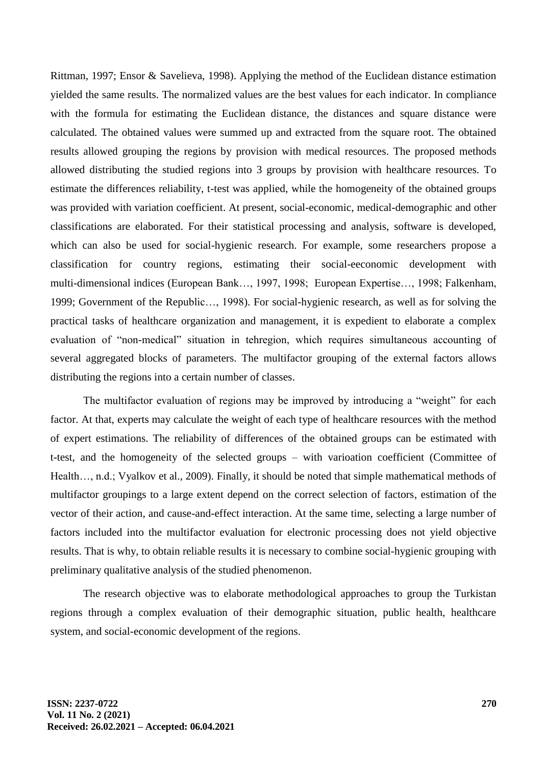Rittman, 1997; Ensor & Savelieva, 1998). Applying the method of the Euclidean distance estimation yielded the same results. The normalized values are the best values for each indicator. In compliance with the formula for estimating the Euclidean distance, the distances and square distance were calculated. The obtained values were summed up and extracted from the square root. The obtained results allowed grouping the regions by provision with medical resources. The proposed methods allowed distributing the studied regions into 3 groups by provision with healthcare resources. To estimate the differences reliability, t-test was applied, while the homogeneity of the obtained groups was provided with variation coefficient. At present, social-economic, medical-demographic and other classifications are elaborated. For their statistical processing and analysis, software is developed, which can also be used for social-hygienic research. For example, some researchers propose a classification for country regions, estimating their social-eeconomic development with multi-dimensional indices (European Bank…, 1997, 1998; European Expertise…, 1998; Falkenham, 1999; Government of the Republic…, 1998). For social-hygienic research, as well as for solving the practical tasks of healthcare organization and management, it is expedient to elaborate a complex evaluation of "non-medical" situation in tehregion, which requires simultaneous accounting of several aggregated blocks of parameters. The multifactor grouping of the external factors allows distributing the regions into a certain number of classes.

The multifactor evaluation of regions may be improved by introducing a "weight" for each factor. At that, experts may calculate the weight of each type of healthcare resources with the method of expert estimations. The reliability of differences of the obtained groups can be estimated with t-test, and the homogeneity of the selected groups – with varioation coefficient (Committee of Health…, n.d.; Vyalkov et al., 2009). Finally, it should be noted that simple mathematical methods of multifactor groupings to a large extent depend on the correct selection of factors, estimation of the vector of their action, and cause-and-effect interaction. At the same time, selecting a large number of factors included into the multifactor evaluation for electronic processing does not yield objective results. That is why, to obtain reliable results it is necessary to combine social-hygienic grouping with preliminary qualitative analysis of the studied phenomenon.

The research objective was to elaborate methodological approaches to group the Turkistan regions through a complex evaluation of their demographic situation, public health, healthcare system, and social-economic development of the regions.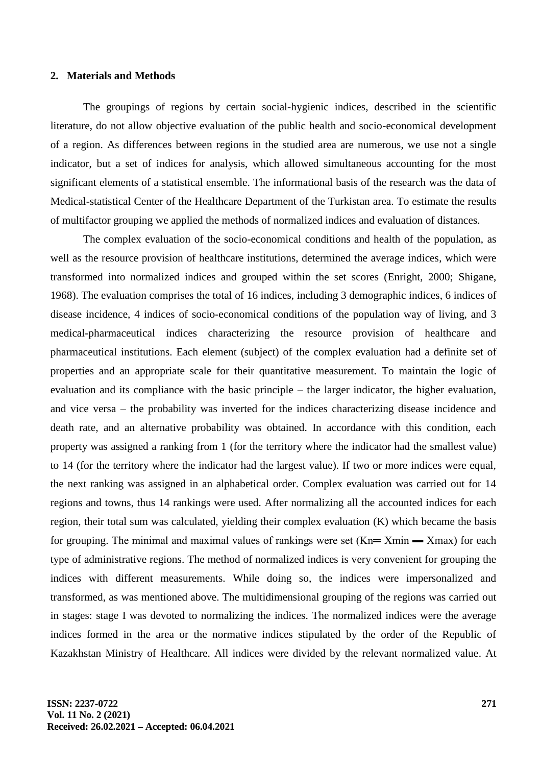#### **2. Materials and Methods**

The groupings of regions by certain social-hygienic indices, described in the scientific literature, do not allow objective evaluation of the public health and socio-economical development of a region. As differences between regions in the studied area are numerous, we use not a single indicator, but a set of indices for analysis, which allowed simultaneous accounting for the most significant elements of a statistical ensemble. The informational basis of the research was the data of Medical-statistical Center of the Healthcare Department of the Turkistan area. To estimate the results of multifactor grouping we applied the methods of normalized indices and evaluation of distances.

The complex evaluation of the socio-economical conditions and health of the population, as well as the resource provision of healthcare institutions, determined the average indices, which were transformed into normalized indices and grouped within the set scores (Enright, 2000; Shigane, 1968). The evaluation comprises the total of 16 indices, including 3 demographic indices, 6 indices of disease incidence, 4 indices of socio-economical conditions of the population way of living, and 3 medical-pharmaceutical indices characterizing the resource provision of healthcare and pharmaceutical institutions. Each element (subject) of the complex evaluation had a definite set of properties and an appropriate scale for their quantitative measurement. To maintain the logic of evaluation and its compliance with the basic principle – the larger indicator, the higher evaluation, and vice versa – the probability was inverted for the indices characterizing disease incidence and death rate, and an alternative probability was obtained. In accordance with this condition, each property was assigned a ranking from 1 (for the territory where the indicator had the smallest value) to 14 (for the territory where the indicator had the largest value). If two or more indices were equal, the next ranking was assigned in an alphabetical order. Complex evaluation was carried out for 14 regions and towns, thus 14 rankings were used. After normalizing all the accounted indices for each region, their total sum was calculated, yielding their complex evaluation (K) which became the basis for grouping. The minimal and maximal values of rankings were set  $(Kn = Xmin - Xmax)$  for each type of administrative regions. The method of normalized indices is very convenient for grouping the indices with different measurements. While doing so, the indices were impersonalized and transformed, as was mentioned above. The multidimensional grouping of the regions was carried out in stages: stage I was devoted to normalizing the indices. The normalized indices were the average indices formed in the area or the normative indices stipulated by the order of the Republic of Kazakhstan Ministry of Healthcare. All indices were divided by the relevant normalized value. At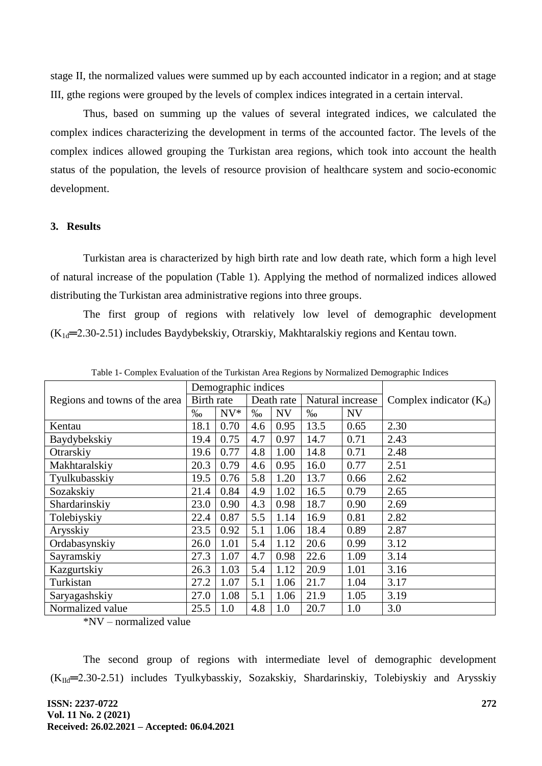stage II, the normalized values were summed up by each accounted indicator in a region; and at stage III, gthe regions were grouped by the levels of complex indices integrated in a certain interval.

Thus, based on summing up the values of several integrated indices, we calculated the complex indices characterizing the development in terms of the accounted factor. The levels of the complex indices allowed grouping the Turkistan area regions, which took into account the health status of the population, the levels of resource provision of healthcare system and socio-economic development.

## **3. Results**

Turkistan area is characterized by high birth rate and low death rate, which form a high level of natural increase of the population (Table 1). Applying the method of normalized indices allowed distributing the Turkistan area administrative regions into three groups.

The first group of regions with relatively low level of demographic development  $(K_{1d} = 2.30 - 2.51)$  includes Baydybekskiy, Otrarskiy, Makhtaralskiy regions and Kentau town.

|                               |            | Demographic indices |            | Complex indicator $(K_d)$ |      |                  |      |
|-------------------------------|------------|---------------------|------------|---------------------------|------|------------------|------|
| Regions and towns of the area | Birth rate |                     | Death rate |                           |      | Natural increase |      |
|                               |            | $NV*$               | $\%$       | <b>NV</b>                 | $\%$ | <b>NV</b>        |      |
| Kentau                        | 18.1       | 0.70                | 4.6        | 0.95                      | 13.5 | 0.65             | 2.30 |
| Baydybekskiy                  | 19.4       | 0.75                | 4.7        | 0.97                      | 14.7 | 0.71             | 2.43 |
| Otrarskiy                     | 19.6       | 0.77                | 4.8        | 1.00                      | 14.8 | 0.71             | 2.48 |
| Makhtaralskiy                 | 20.3       | 0.79                | 4.6        | 0.95                      | 16.0 | 0.77             | 2.51 |
| Tyulkubasskiy                 | 19.5       | 0.76                | 5.8        | 1.20                      | 13.7 | 0.66             | 2.62 |
| Sozakskiy                     | 21.4       | 0.84                | 4.9        | 1.02                      | 16.5 | 0.79             | 2.65 |
| Shardarinskiy                 | 23.0       | 0.90                | 4.3        | 0.98                      | 18.7 | 0.90             | 2.69 |
| Tolebiyskiy                   | 22.4       | 0.87                | 5.5        | 1.14                      | 16.9 | 0.81             | 2.82 |
| Arysskiy                      | 23.5       | 0.92                | 5.1        | 1.06                      | 18.4 | 0.89             | 2.87 |
| Ordabasynskiy                 | 26.0       | 1.01                | 5.4        | 1.12                      | 20.6 | 0.99             | 3.12 |
| Sayramskiy                    | 27.3       | 1.07                | 4.7        | 0.98                      | 22.6 | 1.09             | 3.14 |
| Kazgurtskiy                   | 26.3       | 1.03                | 5.4        | 1.12                      | 20.9 | 1.01             | 3.16 |
| Turkistan                     | 27.2       | 1.07                | 5.1        | 1.06                      | 21.7 | 1.04             | 3.17 |
| Saryagashskiy                 | 27.0       | 1.08                | 5.1        | 1.06                      | 21.9 | 1.05             | 3.19 |
| Normalized value              | 25.5       | 1.0                 | 4.8        | 1.0                       | 20.7 | 1.0              | 3.0  |

Table 1- Complex Evaluation of the Turkistan Area Regions by Normalized Demographic Indices

\*NV – normalized value

The second group of regions with intermediate level of demographic development  $(K<sub>Id</sub>=2.30-2.51)$  includes Tyulkybasskiy, Sozakskiy, Shardarinskiy, Tolebiyskiy and Arysskiy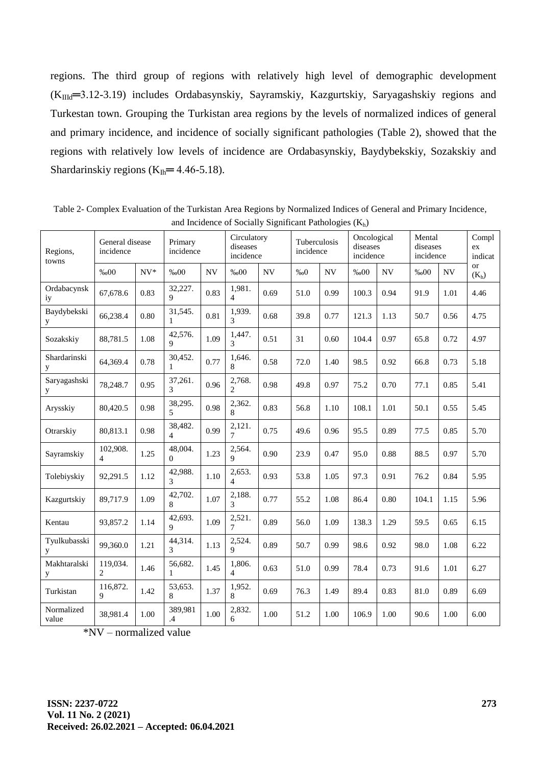regions. The third group of regions with relatively high level of demographic development  $(K<sub>IIId</sub>=3.12-3.19)$  includes Ordabasynskiy, Sayramskiy, Kazgurtskiy, Saryagashskiy regions and Turkestan town. Grouping the Turkistan area regions by the levels of normalized indices of general and primary incidence, and incidence of socially significant pathologies (Table 2), showed that the regions with relatively low levels of incidence are Ordabasynskiy, Baydybekskiy, Sozakskiy and Shardarinskiy regions  $(K_{lh} = 4.46-5.18)$ .

| Regions,<br>towns   | General disease<br>incidence |       | Primary<br>incidence     |           | Circulatory<br>diseases<br>incidence |      | Tuberculosis<br>incidence |           | Oncological<br>diseases<br>incidence |      | Mental<br>diseases<br>incidence |                          | Compl<br>ex<br>indicat |
|---------------------|------------------------------|-------|--------------------------|-----------|--------------------------------------|------|---------------------------|-----------|--------------------------------------|------|---------------------------------|--------------------------|------------------------|
|                     | %00                          | $NV*$ | %00                      | <b>NV</b> | %00                                  | NV   | %00                       | <b>NV</b> | %00                                  | NV   | %00                             | $\ensuremath{\text{NV}}$ | <b>or</b><br>$(K_h)$   |
| Ordabacynsk<br>iy   | 67,678.6                     | 0.83  | 32,227.<br>Q.            | 0.83      | 1,981.<br>$\overline{4}$             | 0.69 | 51.0                      | 0.99      | 100.3                                | 0.94 | 91.9                            | 1.01                     | 4.46                   |
| Baydybekski<br>y    | 66,238.4                     | 0.80  | 31,545.<br>$\mathbf{1}$  | 0.81      | 1,939.<br>3                          | 0.68 | 39.8                      | 0.77      | 121.3                                | 1.13 | 50.7                            | 0.56                     | 4.75                   |
| Sozakskiy           | 88,781.5                     | 1.08  | 42,576.<br>9             | 1.09      | 1,447.<br>3                          | 0.51 | 31                        | 0.60      | 104.4                                | 0.97 | 65.8                            | 0.72                     | 4.97                   |
| Shardarinski<br>y   | 64,369.4                     | 0.78  | 30,452.<br>$\mathbf{1}$  | 0.77      | 1,646.<br>8                          | 0.58 | 72.0                      | 1.40      | 98.5                                 | 0.92 | 66.8                            | 0.73                     | 5.18                   |
| Saryagashski<br>y   | 78,248.7                     | 0.95  | 37,261.<br>3             | 0.96      | 2,768.<br>$\overline{2}$             | 0.98 | 49.8                      | 0.97      | 75.2                                 | 0.70 | 77.1                            | 0.85                     | 5.41                   |
| Arysskiy            | 80,420.5                     | 0.98  | 38,295.<br>5             | 0.98      | 2,362.<br>8                          | 0.83 | 56.8                      | 1.10      | 108.1                                | 1.01 | 50.1                            | 0.55                     | 5.45                   |
| Otrarskiy           | 80,813.1                     | 0.98  | 38,482.<br>4             | 0.99      | 2,121.<br>7                          | 0.75 | 49.6                      | 0.96      | 95.5                                 | 0.89 | 77.5                            | 0.85                     | 5.70                   |
| Sayramskiy          | 102,908.<br>$\overline{4}$   | 1.25  | 48,004.<br>$\Omega$      | 1.23      | 2,564.<br>$\mathbf Q$                | 0.90 | 23.9                      | 0.47      | 95.0                                 | 0.88 | 88.5                            | 0.97                     | 5.70                   |
| Tolebiyskiy         | 92,291.5                     | 1.12  | 42,988.<br>3             | 1.10      | 2,653.<br>4                          | 0.93 | 53.8                      | 1.05      | 97.3                                 | 0.91 | 76.2                            | 0.84                     | 5.95                   |
| Kazgurtskiy         | 89,717.9                     | 1.09  | 42,702.<br>8             | 1.07      | 2,188.<br>3                          | 0.77 | 55.2                      | 1.08      | 86.4                                 | 0.80 | 104.1                           | 1.15                     | 5.96                   |
| Kentau              | 93,857.2                     | 1.14  | 42,693.<br>9             | 1.09      | 2,521.<br>$\overline{7}$             | 0.89 | 56.0                      | 1.09      | 138.3                                | 1.29 | 59.5                            | 0.65                     | 6.15                   |
| Tyulkubasski<br>y   | 99,360.0                     | 1.21  | 44,314.<br>$\mathcal{F}$ | 1.13      | 2,524.<br>9                          | 0.89 | 50.7                      | 0.99      | 98.6                                 | 0.92 | 98.0                            | 1.08                     | 6.22                   |
| Makhtaralski<br>у   | 119,034.<br>$\overline{2}$   | 1.46  | 56,682.<br>1             | 1.45      | 1,806.<br>4                          | 0.63 | 51.0                      | 0.99      | 78.4                                 | 0.73 | 91.6                            | 1.01                     | 6.27                   |
| Turkistan           | 116,872.<br>9                | 1.42  | 53,653.<br>8             | 1.37      | 1,952.<br>8                          | 0.69 | 76.3                      | 1.49      | 89.4                                 | 0.83 | 81.0                            | 0.89                     | 6.69                   |
| Normalized<br>value | 38,981.4                     | 1.00  | 389,981<br>.4            | $1.00\,$  | 2,832.<br>6                          | 1.00 | 51.2                      | 1.00      | 106.9                                | 1.00 | 90.6                            | 1.00                     | 6.00                   |

Table 2- Complex Evaluation of the Turkistan Area Regions by Normalized Indices of General and Primary Incidence, and Incidence of Socially Significant Pathologies  $(K_h)$ 

\*NV – normalized value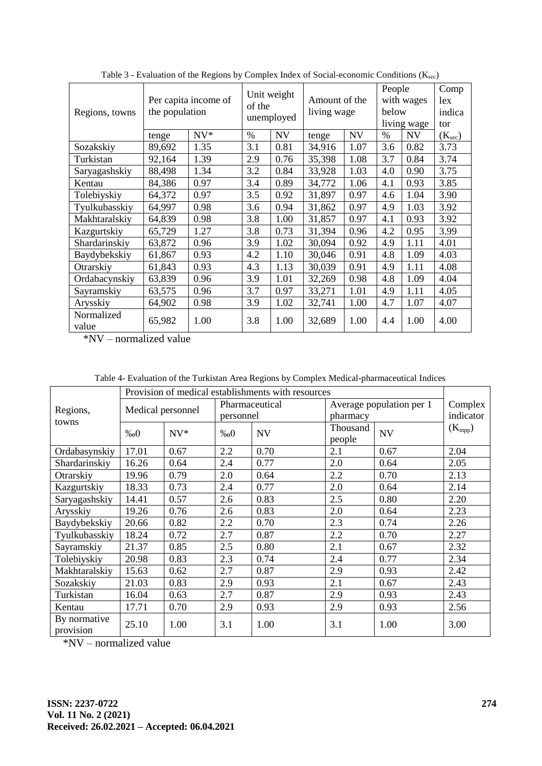| Regions, towns      | Per capita income of<br>the population | of the | Unit weight<br>unemployed | Amount of the<br>living wage |        | People<br>with wages<br>below<br>living wage |      | Comp<br>lex<br>indica<br>tor |                     |
|---------------------|----------------------------------------|--------|---------------------------|------------------------------|--------|----------------------------------------------|------|------------------------------|---------------------|
|                     | tenge                                  | $NV^*$ | $\%$                      | <b>NV</b>                    | tenge  | <b>NV</b>                                    | $\%$ | <b>NV</b>                    | (K <sub>sec</sub> ) |
| Sozakskiy           | 89,692                                 | 1.35   | 3.1                       | 0.81                         | 34,916 | 1.07                                         | 3.6  | 0.82                         | 3.73                |
| Turkistan           | 92,164                                 | 1.39   | 2.9                       | 0.76                         | 35,398 | 1.08                                         | 3.7  | 0.84                         | 3.74                |
| Saryagashskiy       | 88,498                                 | 1.34   | 3.2                       | 0.84                         | 33,928 | 1.03                                         | 4.0  | 0.90                         | 3.75                |
| Kentau              | 84,386                                 | 0.97   | 3.4                       | 0.89                         | 34,772 | 1.06                                         | 4.1  | 0.93                         | 3.85                |
| Tolebiyskiy         | 64,372                                 | 0.97   | 3.5                       | 0.92                         | 31,897 | 0.97                                         | 4.6  | 1.04                         | 3.90                |
| Tyulkubasskiy       | 64,997                                 | 0.98   | 3.6                       | 0.94                         | 31,862 | 0.97                                         | 4.9  | 1.03                         | 3.92                |
| Makhtaralskiy       | 64,839                                 | 0.98   | 3.8                       | 1.00                         | 31,857 | 0.97                                         | 4.1  | 0.93                         | 3.92                |
| Kazgurtskiy         | 65,729                                 | 1.27   | 3.8                       | 0.73                         | 31,394 | 0.96                                         | 4.2  | 0.95                         | 3.99                |
| Shardarinskiy       | 63,872                                 | 0.96   | 3.9                       | 1.02                         | 30,094 | 0.92                                         | 4.9  | 1.11                         | 4.01                |
| Baydybekskiy        | 61,867                                 | 0.93   | 4.2                       | 1.10                         | 30,046 | 0.91                                         | 4.8  | 1.09                         | 4.03                |
| Otrarskiy           | 61,843                                 | 0.93   | 4.3                       | 1.13                         | 30,039 | 0.91                                         | 4.9  | 1.11                         | 4.08                |
| Ordabacynskiy       | 63,839                                 | 0.96   | 3.9                       | 1.01                         | 32,269 | 0.98                                         | 4.8  | 1.09                         | 4.04                |
| Sayramskiy          | 63,575                                 | 0.96   | 3.7                       | 0.97                         | 33,271 | 1.01                                         | 4.9  | 1.11                         | 4.05                |
| Arysskiy            | 64,902                                 | 0.98   | 3.9                       | 1.02                         | 32,741 | 1.00                                         | 4.7  | 1.07                         | 4.07                |
| Normalized<br>value | 65,982                                 | 1.00   | 3.8                       | 1.00                         | 32,689 | 1.00                                         | 4.4  | 1.00                         | 4.00                |

Table 3 - Evaluation of the Regions by Complex Index of Social-economic Conditions  $(K_{\text{sec}})$ 

\*NV – normalized value

Table 4- Evaluation of the Turkistan Area Regions by Complex Medical-pharmaceutical Indices

|                           | Provision of medical establishments with resources |        |                             |           |                                      |                      |             |  |  |  |
|---------------------------|----------------------------------------------------|--------|-----------------------------|-----------|--------------------------------------|----------------------|-------------|--|--|--|
| Regions,<br>towns         | Medical personnel                                  |        | Pharmaceutical<br>personnel |           | Average population per 1<br>pharmacy | Complex<br>indicator |             |  |  |  |
|                           | %00                                                | $NV^*$ | %00                         | <b>NV</b> | Thousand<br>people                   | <b>NV</b>            | $(K_{mpp})$ |  |  |  |
| Ordabasynskiy             | 17.01                                              | 0.67   | 2.2                         | 0.70      | 2.1                                  | 0.67                 | 2.04        |  |  |  |
| Shardarinskiy             | 16.26                                              | 0.64   | 2.4                         | 0.77      | 2.0                                  | 0.64                 | 2.05        |  |  |  |
| Otrarskiy                 | 19.96                                              | 0.79   | 2.0                         | 0.64      | 2.2                                  | 0.70                 | 2.13        |  |  |  |
| Kazgurtskiy               | 18.33                                              | 0.73   | 2.4                         | 0.77      | 2.0                                  | 0.64                 | 2.14        |  |  |  |
| Saryagashskiy             | 14.41                                              | 0.57   | 2.6                         | 0.83      | 2.5                                  | 0.80                 | 2.20        |  |  |  |
| Arysskiy                  | 19.26                                              | 0.76   | 2.6                         | 0.83      | 2.0                                  | 0.64                 | 2.23        |  |  |  |
| Baydybekskiy              | 20.66                                              | 0.82   | 2.2                         | 0.70      | 2.3                                  | 0.74                 | 2.26        |  |  |  |
| Tyulkubasskiy             | 18.24                                              | 0.72   | 2.7                         | 0.87      | 2.2                                  | 0.70                 | 2.27        |  |  |  |
| Sayramskiy                | 21.37                                              | 0.85   | 2.5                         | 0.80      | 2.1                                  | 0.67                 | 2.32        |  |  |  |
| Tolebiyskiy               | 20.98                                              | 0.83   | 2.3                         | 0.74      | 2.4                                  | 0.77                 | 2.34        |  |  |  |
| Makhtaralskiy             | 15.63                                              | 0.62   | 2.7                         | 0.87      | 2.9                                  | 0.93                 | 2.42        |  |  |  |
| Sozakskiy                 | 21.03                                              | 0.83   | 2.9                         | 0.93      | 2.1                                  | 0.67                 | 2.43        |  |  |  |
| Turkistan                 | 16.04                                              | 0.63   | 2.7                         | 0.87      | 2.9                                  | 0.93                 | 2.43        |  |  |  |
| Kentau                    | 17.71                                              | 0.70   | 2.9                         | 0.93      | 2.9                                  | 0.93                 | 2.56        |  |  |  |
| By normative<br>provision | 25.10                                              | 1.00   | 3.1                         | 1.00      | 3.1                                  | 1.00                 | 3.00        |  |  |  |

\*NV – normalized value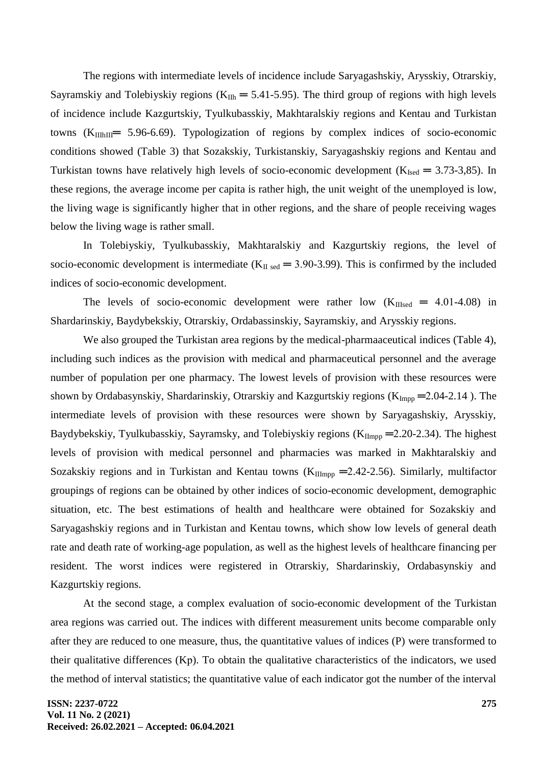The regions with intermediate levels of incidence include Saryagashskiy, Arysskiy, Otrarskiy, Sayramskiy and Tolebiyskiy regions ( $K_{I1h} = 5.41-5.95$ ). The third group of regions with high levels of incidence include Kazgurtskiy, Tyulkubasskiy, Makhtaralskiy regions and Kentau and Turkistan towns  $(K_{\text{IIIhIII}} = 5.96-6.69)$ . Typologization of regions by complex indices of socio-economic conditions showed (Table 3) that Sozakskiy, Turkistanskiy, Saryagashskiy regions and Kentau and Turkistan towns have relatively high levels of socio-economic development ( $K_{Ised} = 3.73$ -3,85). In these regions, the average income per capita is rather high, the unit weight of the unemployed is low, the living wage is significantly higher that in other regions, and the share of people receiving wages below the living wage is rather small.

In Tolebiyskiy, Tyulkubasskiy, Makhtaralskiy and Kazgurtskiy regions, the level of socio-economic development is intermediate ( $K_{II \text{ sed}} = 3.90$ -3.99). This is confirmed by the included indices of socio-economic development.

The levels of socio-economic development were rather low  $(K_{IIIsed} = 4.01-4.08)$  in Shardarinskiy, Baydybekskiy, Otrarskiy, Ordabassinskiy, Sayramskiy, and Arysskiy regions.

We also grouped the Turkistan area regions by the medical-pharmaaceutical indices (Table 4), including such indices as the provision with medical and pharmaceutical personnel and the average number of population per one pharmacy. The lowest levels of provision with these resources were shown by Ordabasynskiy, Shardarinskiy, Otrarskiy and Kazgurtskiy regions ( $K_{\text{Impp}}$  = 2.04-2.14 ). The intermediate levels of provision with these resources were shown by Saryagashskiy, Arysskiy, Baydybekskiy, Tyulkubasskiy, Sayramsky, and Tolebiyskiy regions ( $K_{\text{IImp}} = 2.20-2.34$ ). The highest levels of provision with medical personnel and pharmacies was marked in Makhtaralskiy and Sozakskiy regions and in Turkistan and Kentau towns ( $K_{\text{IImpp}}$  = 2.42-2.56). Similarly, multifactor groupings of regions can be obtained by other indices of socio-economic development, demographic situation, etc. The best estimations of health and healthcare were obtained for Sozakskiy and Saryagashskiy regions and in Turkistan and Kentau towns, which show low levels of general death rate and death rate of working-age population, as well as the highest levels of healthcare financing per resident. The worst indices were registered in Otrarskiy, Shardarinskiy, Ordabasynskiy and Kazgurtskiy regions.

At the second stage, a complex evaluation of socio-economic development of the Turkistan area regions was carried out. The indices with different measurement units become comparable only after they are reduced to one measure, thus, the quantitative values of indices (P) were transformed to their qualitative differences (Kр). To obtain the qualitative characteristics of the indicators, we used the method of interval statistics; the quantitative value of each indicator got the number of the interval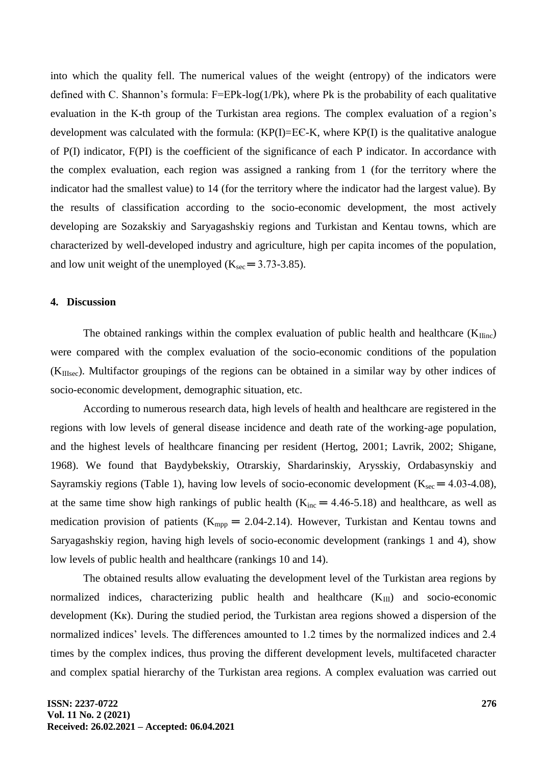into which the quality fell. The numerical values of the weight (entropy) of the indicators were defined with C. Shannon's formula: F=EPk-log(1/Pk), where Pk is the probability of each qualitative evaluation in the K-th group of the Turkistan area regions. The complex evaluation of a region's development was calculated with the formula:  $(KP(I)=E\mathcal{E}-K)$ , where  $KP(I)$  is the qualitative analogue of P(I) indicator, F(PI) is the coefficient of the significance of each P indicator. In accordance with the complex evaluation, each region was assigned a ranking from 1 (for the territory where the indicator had the smallest value) to 14 (for the territory where the indicator had the largest value). By the results of classification according to the socio-economic development, the most actively developing are Sozakskiy and Saryagashskiy regions and Turkistan and Kentau towns, which are characterized by well-developed industry and agriculture, high per capita incomes of the population, and low unit weight of the unemployed  $(K<sub>sec</sub> = 3.73-3.85)$ .

#### **4. Discussion**

The obtained rankings within the complex evaluation of public health and healthcare  $(K<sub>linc</sub>)$ were compared with the complex evaluation of the socio-economic conditions of the population (KIIIsec). Multifactor groupings of the regions can be obtained in a similar way by other indices of socio-economic development, demographic situation, etc.

According to numerous research data, high levels of health and healthcare are registered in the regions with low levels of general disease incidence and death rate of the working-age population, and the highest levels of healthcare financing per resident (Hertog, 2001; Lavrik, 2002; Shigane, 1968). We found that Baydybekskiy, Otrarskiy, Shardarinskiy, Arysskiy, Ordabasynskiy and Sayramskiy regions (Table 1), having low levels of socio-economic development ( $K_{\text{sec}} = 4.03{\text -}4.08$ ), at the same time show high rankings of public health ( $K_{inc} = 4.46-5.18$ ) and healthcare, as well as medication provision of patients ( $K_{\text{mono}} = 2.04$ -2.14). However, Turkistan and Kentau towns and Saryagashskiy region, having high levels of socio-economic development (rankings 1 and 4), show low levels of public health and healthcare (rankings 10 and 14).

The obtained results allow evaluating the development level of the Turkistan area regions by normalized indices, characterizing public health and healthcare  $(K_{III})$  and socio-economic development (Kк). During the studied period, the Turkistan area regions showed a dispersion of the normalized indices' levels. The differences amounted to 1.2 times by the normalized indices and 2.4 times by the complex indices, thus proving the different development levels, multifaceted character and complex spatial hierarchy of the Turkistan area regions. A complex evaluation was carried out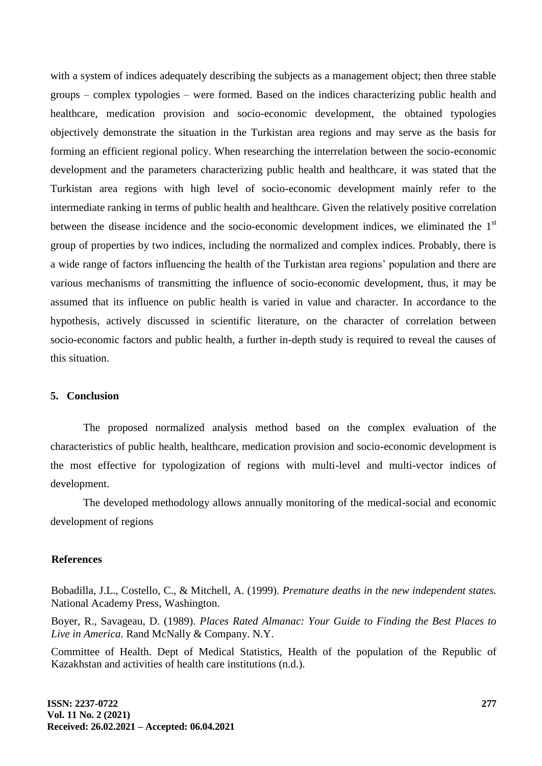with a system of indices adequately describing the subjects as a management object; then three stable groups – complex typologies – were formed. Based on the indices characterizing public health and healthcare, medication provision and socio-economic development, the obtained typologies objectively demonstrate the situation in the Turkistan area regions and may serve as the basis for forming an efficient regional policy. When researching the interrelation between the socio-economic development and the parameters characterizing public health and healthcare, it was stated that the Turkistan area regions with high level of socio-economic development mainly refer to the intermediate ranking in terms of public health and healthcare. Given the relatively positive correlation between the disease incidence and the socio-economic development indices, we eliminated the 1<sup>st</sup> group of properties by two indices, including the normalized and complex indices. Probably, there is a wide range of factors influencing the health of the Turkistan area regions' population and there are various mechanisms of transmitting the influence of socio-economic development, thus, it may be assumed that its influence on public health is varied in value and character. In accordance to the hypothesis, actively discussed in scientific literature, on the character of correlation between socio-economic factors and public health, a further in-depth study is required to reveal the causes of this situation.

### **5. Conclusion**

The proposed normalized analysis method based on the complex evaluation of the characteristics of public health, healthcare, medication provision and socio-economic development is the most effective for typologization of regions with multi-level and multi-vector indices of development.

The developed methodology allows annually monitoring of the medical-social and economic development of regions

#### **References**

Bobadilla, J.L., Costello, C., & Mitchell, A. (1999). *Premature deaths in the new independent states.*  National Academy Press, Washington.

Boyer, R., Savageau, D. (1989). *Places Rated Almanac: Your Guide to Finding the Best Places to Live in America.* Rand McNally & Company. N.Y.

Committee of Health. Dept of Medical Statistics, Health of the population of the Republic of Kazakhstan and activities of health care institutions (n.d.).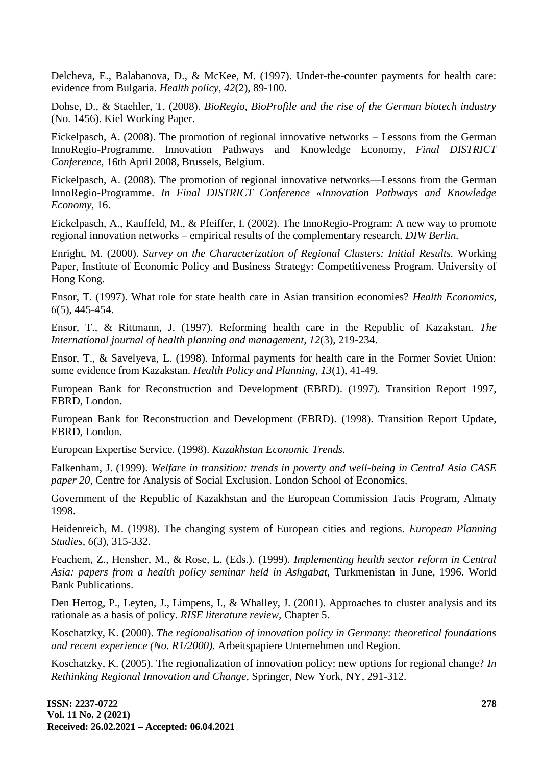Delcheva, E., Balabanova, D., & McKee, M. (1997). Under-the-counter payments for health care: evidence from Bulgaria. *Health policy, 42*(2), 89-100.

Dohse, D., & Staehler, T. (2008). *BioRegio, BioProfile and the rise of the German biotech industry* (No. 1456). Kiel Working Paper.

Eickelpasch, A. (2008). The promotion of regional innovative networks – Lessons from the German InnoRegio-Programme. Innovation Pathways and Knowledge Economy, *Final DISTRICT Conference,* 16th April 2008, Brussels, Belgium.

Eickelpasch, A. (2008). The promotion of regional innovative networks—Lessons from the German InnoRegio-Programme. *In Final DISTRICT Conference «Innovation Pathways and Knowledge Economy,* 16.

Eickelpasch, A., Kauffeld, M., & Pfeiffer, I. (2002). The InnoRegio-Program: A new way to promote regional innovation networks – empirical results of the complementary research. *DIW Berlin.*

Enright, M. (2000). *Survey on the Characterization of Regional Clusters: Initial Results.* Working Paper, Institute of Economic Policy and Business Strategy: Competitiveness Program. University of Hong Kong.

Ensor, T. (1997). What role for state health care in Asian transition economies? *Health Economics, 6*(5), 445-454.

Ensor, T., & Rittmann, J. (1997). Reforming health care in the Republic of Kazakstan. *The International journal of health planning and management, 12*(3), 219-234.

Ensor, T., & Savelyeva, L. (1998). Informal payments for health care in the Former Soviet Union: some evidence from Kazakstan. *Health Policy and Planning, 13*(1), 41-49.

European Bank for Reconstruction and Development (EBRD). (1997). Transition Report 1997, EBRD, London.

European Bank for Reconstruction and Development (EBRD). (1998). Transition Report Update, EBRD, London.

European Expertise Service. (1998). *Kazakhstan Economic Trends.*

Falkenham, J. (1999). *Welfare in transition: trends in poverty and well-being in Central Asia CASE paper 20,* Centre for Analysis of Social Exclusion. London School of Economics.

Government of the Republic of Kazakhstan and the European Commission Tacis Program, Almaty 1998.

Heidenreich, M. (1998). The changing system of European cities and regions. *European Planning Studies, 6*(3), 315-332.

Feachem, Z., Hensher, M., & Rose, L. (Eds.). (1999). *Implementing health sector reform in Central Asia: papers from a health policy seminar held in Ashgabat,* Turkmenistan in June, 1996. World Bank Publications.

Den Hertog, P., Leyten, J., Limpens, I., & Whalley, J. (2001). Approaches to cluster analysis and its rationale as a basis of policy. *RISE literature review,* Chapter 5.

Koschatzky, K. (2000). *The regionalisation of innovation policy in Germany: theoretical foundations and recent experience (No. R1/2000).* Arbeitspapiere Unternehmen und Region.

Koschatzky, K. (2005). The regionalization of innovation policy: new options for regional change? *In Rethinking Regional Innovation and Change,* Springer, New York, NY, 291-312.